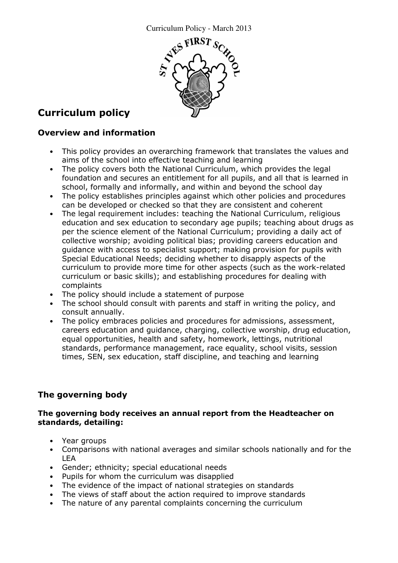

# Curriculum policy

### Overview and information

- This policy provides an overarching framework that translates the values and aims of the school into effective teaching and learning
- The policy covers both the National Curriculum, which provides the legal foundation and secures an entitlement for all pupils, and all that is learned in school, formally and informally, and within and beyond the school day
- The policy establishes principles against which other policies and procedures can be developed or checked so that they are consistent and coherent
- The legal requirement includes: teaching the National Curriculum, religious education and sex education to secondary age pupils; teaching about drugs as per the science element of the National Curriculum; providing a daily act of collective worship; avoiding political bias; providing careers education and guidance with access to specialist support; making provision for pupils with Special Educational Needs; deciding whether to disapply aspects of the curriculum to provide more time for other aspects (such as the work-related curriculum or basic skills); and establishing procedures for dealing with complaints
- The policy should include a statement of purpose
- The school should consult with parents and staff in writing the policy, and consult annually.
- The policy embraces policies and procedures for admissions, assessment, careers education and guidance, charging, collective worship, drug education, equal opportunities, health and safety, homework, lettings, nutritional standards, performance management, race equality, school visits, session times, SEN, sex education, staff discipline, and teaching and learning

# The governing body

#### The governing body receives an annual report from the Headteacher on standards, detailing:

- Year groups
- Comparisons with national averages and similar schools nationally and for the LEA
- Gender; ethnicity; special educational needs
- Pupils for whom the curriculum was disapplied
- The evidence of the impact of national strategies on standards
- The views of staff about the action required to improve standards
- The nature of any parental complaints concerning the curriculum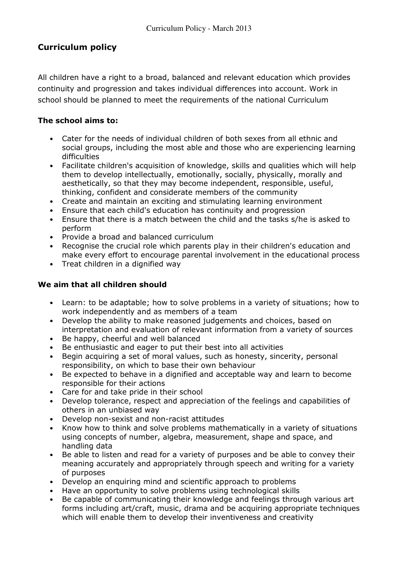## Curriculum policy

All children have a right to a broad, balanced and relevant education which provides continuity and progression and takes individual differences into account. Work in school should be planned to meet the requirements of the national Curriculum

### The school aims to:

- Cater for the needs of individual children of both sexes from all ethnic and social groups, including the most able and those who are experiencing learning difficulties
- Facilitate children's acquisition of knowledge, skills and qualities which will help them to develop intellectually, emotionally, socially, physically, morally and aesthetically, so that they may become independent, responsible, useful, thinking, confident and considerate members of the community
- Create and maintain an exciting and stimulating learning environment
- Ensure that each child's education has continuity and progression
- Ensure that there is a match between the child and the tasks s/he is asked to perform
- Provide a broad and balanced curriculum
- Recognise the crucial role which parents play in their children's education and make every effort to encourage parental involvement in the educational process
- Treat children in a dignified way

### We aim that all children should

- Learn: to be adaptable; how to solve problems in a variety of situations; how to work independently and as members of a team
- Develop the ability to make reasoned judgements and choices, based on interpretation and evaluation of relevant information from a variety of sources
- Be happy, cheerful and well balanced
- Be enthusiastic and eager to put their best into all activities
- Begin acquiring a set of moral values, such as honesty, sincerity, personal responsibility, on which to base their own behaviour
- Be expected to behave in a dignified and acceptable way and learn to become responsible for their actions
- Care for and take pride in their school
- Develop tolerance, respect and appreciation of the feelings and capabilities of others in an unbiased way
- Develop non-sexist and non-racist attitudes
- Know how to think and solve problems mathematically in a variety of situations using concepts of number, algebra, measurement, shape and space, and handling data
- Be able to listen and read for a variety of purposes and be able to convey their meaning accurately and appropriately through speech and writing for a variety of purposes
- Develop an enquiring mind and scientific approach to problems
- Have an opportunity to solve problems using technological skills
- Be capable of communicating their knowledge and feelings through various art forms including art/craft, music, drama and be acquiring appropriate techniques which will enable them to develop their inventiveness and creativity